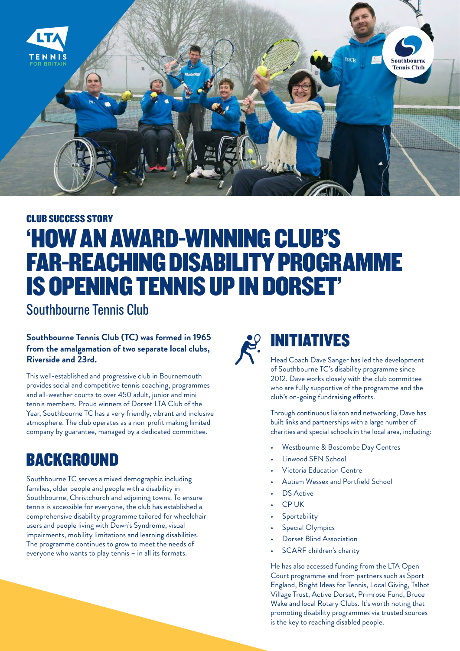

# CLUB SUCCESS STORY 'HOW AN AWARD-WINNING CLUB'S FAR-REACHING DISABILITY PROGRAMME IS OPENING TENNIS UP IN DORSET'

Southbourne Tennis Club

**Southbourne Tennis Club (TC) was formed in 1965 from the amalgamation of two separate local clubs, Riverside and 23rd.** 

This well-established and progressive club in Bournemouth provides social and competitive tennis coaching, programmes and all-weather courts to over 450 adult, junior and mini tennis members. Proud winners of Dorset LTA Club of the Year, Southbourne TC has a very friendly, vibrant and inclusive atmosphere. The club operates as a non-profit making limited company by guarantee, managed by a dedicated committee.

## BACKGROUND

Southbourne TC serves a mixed demographic including families, older people and people with a disability in Southbourne, Christchurch and adjoining towns. To ensure tennis is accessible for everyone, the club has established a comprehensive disability programme tailored for wheelchair users and people living with Down's Syndrome, visual impairments, mobility limitations and learning disabilities. The programme continues to grow to meet the needs of everyone who wants to play tennis – in all its formats.



## INITIATIVES

Head Coach Dave Sanger has led the development of Southbourne TC's disability programme since 2012. Dave works closely with the club committee who are fully supportive of the programme and the club's on-going fundraising efforts.

Through continuous liaison and networking, Dave has built links and partnerships with a large number of charities and special schools in the local area, including:

- Westbourne & Boscombe Day Centres
- Linwood SEN School
- Victoria Education Centre
- Autism Wessex and Portfield School
- DS Active
- CP UK
- **Sportability**
- Special Olympics
- Dorset Blind Association
- SCARF children's charity

He has also accessed funding from the LTA Open Court programme and from partners such as Sport England, Bright Ideas for Tennis, Local Giving, Talbot Village Trust, Active Dorset, Primrose Fund, Bruce Wake and local Rotary Clubs. It's worth noting that promoting disability programmes via trusted sources is the key to reaching disabled people.